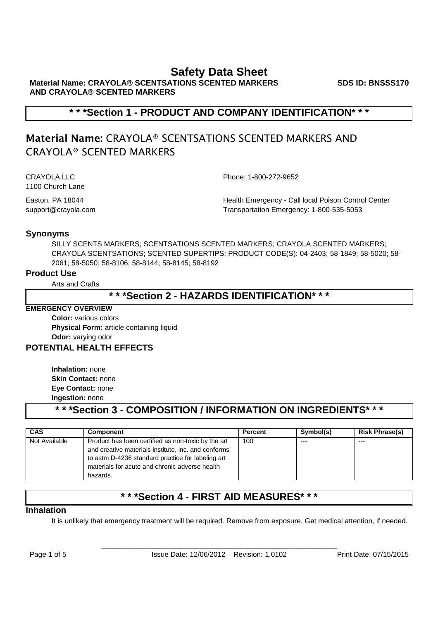**Material Name: CRAYOLA® SCENTSATIONS SCENTED MARKERS AND CRAYOLA® SCENTED MARKERS**

**SDS ID: BNSSS170**

# **\* \* \*Section 1 - PRODUCT AND COMPANY IDENTIFICATION\* \* \***

# **Material Name:** CRAYOLA® SCENTSATIONS SCENTED MARKERS AND CRAYOLA® SCENTED MARKERS

CRAYOLA LLC Phone: 1-800-272-9652 1100 Church Lane

Easton, PA 18044 Health Emergency - Call local Poison Control Center support@crayola.com Transportation Emergency: 1-800-535-5053

## **Synonyms**

SILLY SCENTS MARKERS; SCENTSATIONS SCENTED MARKERS; CRAYOLA SCENTED MARKERS; CRAYOLA SCENTSATIONS; SCENTED SUPERTIPS; PRODUCT CODE(S): 04-2403; 58-1849; 58-5020; 58- 2061; 58-5050; 58-8106; 58-8144; 58-8145; 58-8192

## **Product Use**

Arts and Crafts

## **\* \* \*Section 2 - HAZARDS IDENTIFICATION\* \* \***

## **EMERGENCY OVERVIEW**

**Color:** various colors **Physical Form:** article containing liquid **Odor:** varying odor

## **POTENTIAL HEALTH EFFECTS**

**Inhalation:** none **Skin Contact:** none **Eye Contact:** none **Ingestion:** none

**\* \* \*Section 3 - COMPOSITION / INFORMATION ON INGREDIENTS\* \* \***

| <b>CAS</b>    | Component                                                                                                                                                                                                                    | <b>Percent</b> | Symbol(s) | <b>Risk Phrase(s)</b> |
|---------------|------------------------------------------------------------------------------------------------------------------------------------------------------------------------------------------------------------------------------|----------------|-----------|-----------------------|
| Not Available | Product has been certified as non-toxic by the art<br>and creative materials institute, inc. and conforms<br>to astm D-4236 standard practice for labeling art<br>materials for acute and chronic adverse health<br>hazards. | 100            | $--$      | ---                   |

# **\* \* \*Section 4 - FIRST AID MEASURES\* \* \***

## **Inhalation**

It is unlikely that emergency treatment will be required. Remove from exposure. Get medical attention, if needed.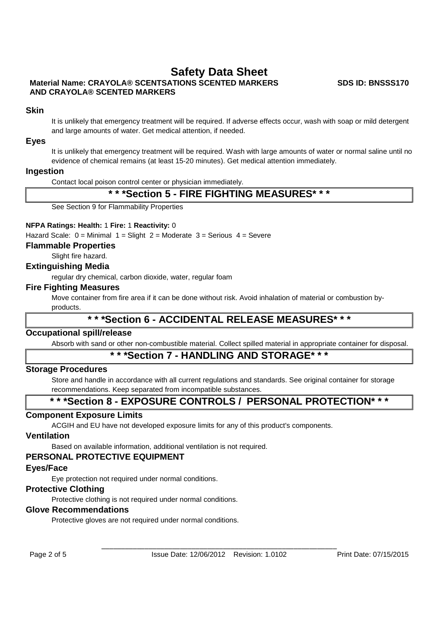## **Material Name: CRAYOLA® SCENTSATIONS SCENTED MARKERS AND CRAYOLA® SCENTED MARKERS**

**SDS ID: BNSSS170**

## **Skin**

It is unlikely that emergency treatment will be required. If adverse effects occur, wash with soap or mild detergent and large amounts of water. Get medical attention, if needed.

#### **Eyes**

It is unlikely that emergency treatment will be required. Wash with large amounts of water or normal saline until no evidence of chemical remains (at least 15-20 minutes). Get medical attention immediately.

#### **Ingestion**

Contact local poison control center or physician immediately.

## **\* \* \*Section 5 - FIRE FIGHTING MEASURES\* \* \***

See Section 9 for Flammability Properties

#### **NFPA Ratings: Health:** 1 **Fire:** 1 **Reactivity:** 0

Hazard Scale:  $0 =$  Minimal  $1 =$  Slight  $2 =$  Moderate  $3 =$  Serious  $4 =$  Severe

#### **Flammable Properties**

Slight fire hazard.

#### **Extinguishing Media**

regular dry chemical, carbon dioxide, water, regular foam

#### **Fire Fighting Measures**

Move container from fire area if it can be done without risk. Avoid inhalation of material or combustion byproducts.

# **\* \* \*Section 6 - ACCIDENTAL RELEASE MEASURES\* \* \***

#### **Occupational spill/release**

Absorb with sand or other non-combustible material. Collect spilled material in appropriate container for disposal.

## **\* \* \*Section 7 - HANDLING AND STORAGE\* \* \***

#### **Storage Procedures**

Store and handle in accordance with all current regulations and standards. See original container for storage recommendations. Keep separated from incompatible substances.

## **\* \* \*Section 8 - EXPOSURE CONTROLS / PERSONAL PROTECTION\* \* \***

## **Component Exposure Limits**

ACGIH and EU have not developed exposure limits for any of this product's components.

#### **Ventilation**

Based on available information, additional ventilation is not required.

## **PERSONAL PROTECTIVE EQUIPMENT**

#### **Eyes/Face**

Eye protection not required under normal conditions.

## **Protective Clothing**

Protective clothing is not required under normal conditions.

#### **Glove Recommendations**

Protective gloves are not required under normal conditions.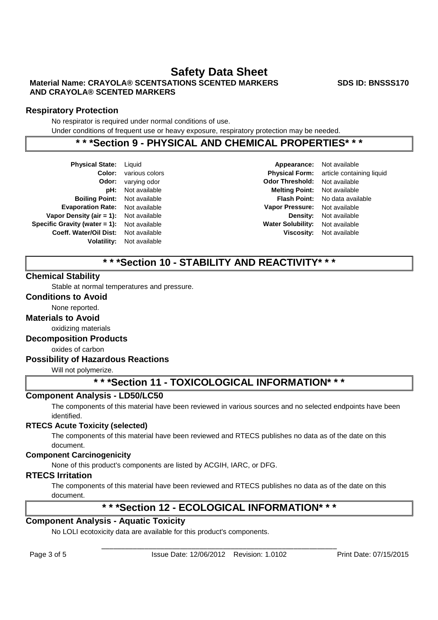## **Material Name: CRAYOLA® SCENTSATIONS SCENTED MARKERS AND CRAYOLA® SCENTED MARKERS**

**Respiratory Protection**

No respirator is required under normal conditions of use.

Under conditions of frequent use or heavy exposure, respiratory protection may be needed.

## **\* \* \*Section 9 - PHYSICAL AND CHEMICAL PROPERTIES\* \* \***

| <b>Physical State:</b>        | Liquid        |  |
|-------------------------------|---------------|--|
| Color:                        | various color |  |
| Odor:                         | varying odor  |  |
| pH:                           | Not available |  |
| <b>Boiling Point:</b>         | Not available |  |
| <b>Evaporation Rate:</b>      | Not available |  |
| Vapor Density (air $= 1$ ):   | Not available |  |
| Specific Gravity (water = 1): | Not available |  |
| <b>Coeff. Water/Oil Dist:</b> | Not available |  |
| <b>Volatility:</b>            | Not available |  |
|                               |               |  |

**Coloring Color: Physical Form:** article containing liquid **Odor Threshold:** Not available **pH:** Not available **Melting Point:** Not available **Boiling Point:** Not available **Flash Point:** No data available **Evaporation Rate:** Not available **Vapor Pressure:** Not available **Vapor Density (air = 1):** Not available **Density:** Not available **Specific Gravity (water = 1):** Not available **Water Solubility:** Not available **Coeff. Water/Oil Dist:** Not available **Viscosity:** Not available

**Appearance:** Not available

# **\* \* \*Section 10 - STABILITY AND REACTIVITY\* \* \***

## **Chemical Stability**

Stable at normal temperatures and pressure.

## **Conditions to Avoid**

None reported.

## **Materials to Avoid**

oxidizing materials

## **Decomposition Products**

oxides of carbon

## **Possibility of Hazardous Reactions**

Will not polymerize.

## **\* \* \*Section 11 - TOXICOLOGICAL INFORMATION\* \* \***

## **Component Analysis - LD50/LC50**

The components of this material have been reviewed in various sources and no selected endpoints have been identified.

## **RTECS Acute Toxicity (selected)**

The components of this material have been reviewed and RTECS publishes no data as of the date on this document.

## **Component Carcinogenicity**

None of this product's components are listed by ACGIH, IARC, or DFG.

## **RTECS Irritation**

The components of this material have been reviewed and RTECS publishes no data as of the date on this document.

# **\* \* \*Section 12 - ECOLOGICAL INFORMATION\* \* \***

## **Component Analysis - Aquatic Toxicity**

No LOLI ecotoxicity data are available for this product's components.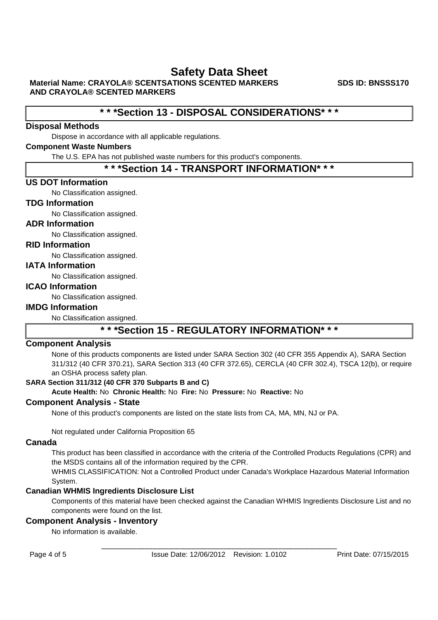**Material Name: CRAYOLA® SCENTSATIONS SCENTED MARKERS AND CRAYOLA® SCENTED MARKERS**

**SDS ID: BNSSS170**

# **\* \* \*Section 13 - DISPOSAL CONSIDERATIONS\* \* \***

## **Disposal Methods**

Dispose in accordance with all applicable regulations.

## **Component Waste Numbers**

The U.S. EPA has not published waste numbers for this product's components.

## **\* \* \*Section 14 - TRANSPORT INFORMATION\* \* \***

## **US DOT Information**

No Classification assigned.

## **TDG Information**

No Classification assigned.

## **ADR Information**

No Classification assigned.

## **RID Information**

No Classification assigned.

## **IATA Information**

No Classification assigned.

## **ICAO Information**

No Classification assigned.

#### **IMDG Information**

No Classification assigned.

# **\* \* \*Section 15 - REGULATORY INFORMATION\* \* \***

## **Component Analysis**

None of this products components are listed under SARA Section 302 (40 CFR 355 Appendix A), SARA Section 311/312 (40 CFR 370.21), SARA Section 313 (40 CFR 372.65), CERCLA (40 CFR 302.4), TSCA 12(b), or require an OSHA process safety plan.

## **SARA Section 311/312 (40 CFR 370 Subparts B and C)**

**Acute Health:** No **Chronic Health:** No **Fire:** No **Pressure:** No **Reactive:** No

## **Component Analysis - State**

None of this product's components are listed on the state lists from CA, MA, MN, NJ or PA.

Not regulated under California Proposition 65

## **Canada**

This product has been classified in accordance with the criteria of the Controlled Products Regulations (CPR) and the MSDS contains all of the information required by the CPR.

WHMIS CLASSIFICATION: Not a Controlled Product under Canada's Workplace Hazardous Material Information System.

## **Canadian WHMIS Ingredients Disclosure List**

Components of this material have been checked against the Canadian WHMIS Ingredients Disclosure List and no components were found on the list.

## **Component Analysis - Inventory**

No information is available.